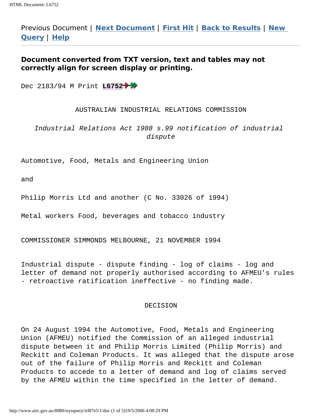Previous Document | **[Next Document](http://www.airc.gov.au:8080/isysquery/irl87e5/2/doc)** | **[First Hit](#page-0-0)** | **[Back to Results](http://www.airc.gov.au:8080/isysquery/irl87e5/1-5/list)** | **[New](http://www.airc.gov.au:8080/isysquery/irl87e5/1/\\www.airc.gov.au:8080/isysmenu_alldecs_2k5.html) [Query](http://www.airc.gov.au:8080/isysquery/irl87e5/1/\\www.airc.gov.au:8080/isysmenu_alldecs_2k5.html)** | **[Help](http://www.airc.gov.au:8080/help/docbrows.htm)**

# **Document converted from TXT version, text and tables may not correctly align for screen display or printing.**

<span id="page-0-0"></span>Dec 2183/94 M Print **L6752**

### AUSTRALIAN INDUSTRIAL RELATIONS COMMISSION

Industrial Relations Act 1988 s.99 notification of industrial dispute

Automotive, Food, Metals and Engineering Union

and

Philip Morris Ltd and another (C No. 33026 of 1994)

Metal workers Food, beverages and tobacco industry

COMMISSIONER SIMMONDS MELBOURNE, 21 NOVEMBER 1994

Industrial dispute - dispute finding - log of claims - log and letter of demand not properly authorised according to AFMEU's rules - retroactive ratification ineffective - no finding made.

#### DECISION

On 24 August 1994 the Automotive, Food, Metals and Engineering Union (AFMEU) notified the Commission of an alleged industrial dispute between it and Philip Morris Limited (Philip Morris) and Reckitt and Coleman Products. It was alleged that the dispute arose out of the failure of Philip Morris and Reckitt and Coleman Products to accede to a letter of demand and log of claims served by the AFMEU within the time specified in the letter of demand.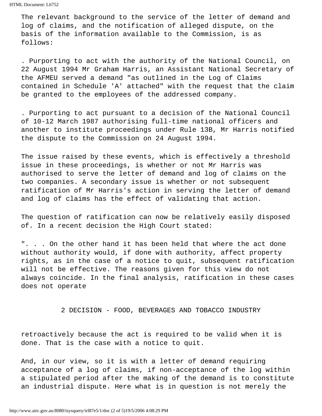The relevant background to the service of the letter of demand and log of claims, and the notification of alleged dispute, on the basis of the information available to the Commission, is as follows:

. Purporting to act with the authority of the National Council, on 22 August 1994 Mr Graham Harris, an Assistant National Secretary of the AFMEU served a demand "as outlined in the Log of Claims contained in Schedule 'A' attached" with the request that the claim be granted to the employees of the addressed company.

. Purporting to act pursuant to a decision of the National Council of 10-12 March 1987 authorising full-time national officers and another to institute proceedings under Rule 13B, Mr Harris notified the dispute to the Commission on 24 August 1994.

The issue raised by these events, which is effectively a threshold issue in these proceedings, is whether or not Mr Harris was authorised to serve the letter of demand and log of claims on the two companies. A secondary issue is whether or not subsequent ratification of Mr Harris's action in serving the letter of demand and log of claims has the effect of validating that action.

The question of ratification can now be relatively easily disposed of. In a recent decision the High Court stated:

". . . On the other hand it has been held that where the act done without authority would, if done with authority, affect property rights, as in the case of a notice to quit, subsequent ratification will not be effective. The reasons given for this view do not always coincide. In the final analysis, ratification in these cases does not operate

2 DECISION - FOOD, BEVERAGES AND TOBACCO INDUSTRY

retroactively because the act is required to be valid when it is done. That is the case with a notice to quit.

And, in our view, so it is with a letter of demand requiring acceptance of a log of claims, if non-acceptance of the log within a stipulated period after the making of the demand is to constitute an industrial dispute. Here what is in question is not merely the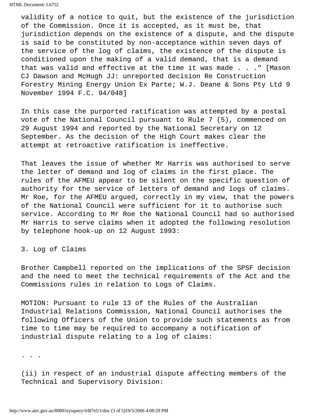HTML Document: L6752

validity of a notice to quit, but the existence of the jurisdiction of the Commission. Once it is accepted, as it must be, that jurisdiction depends on the existence of a dispute, and the dispute is said to be constituted by non-acceptance within seven days of the service of the log of claims, the existence of the dispute is conditioned upon the making of a valid demand, that is a demand that was valid and effective at the time it was made . . ." [Mason CJ Dawson and McHugh JJ: unreported decision Re Construction Forestry Mining Energy Union Ex Parte; W.J. Deane & Sons Pty Ltd 9 November 1994 F.C. 94/048]

In this case the purported ratification was attempted by a postal vote of the National Council pursuant to Rule 7 (5), commenced on 29 August 1994 and reported by the National Secretary on 12 September. As the decision of the High Court makes clear the attempt at retroactive ratification is ineffective.

That leaves the issue of whether Mr Harris was authorised to serve the letter of demand and log of claims in the first place. The rules of the AFMEU appear to be silent on the specific question of authority for the service of letters of demand and logs of claims. Mr Roe, for the AFMEU argued, correctly in my view, that the powers of the National Council were sufficient for it to authorise such service. According to Mr Roe the National Council had so authorised Mr Harris to serve claims when it adopted the following resolution by telephone hook-up on 12 August 1993:

3. Log of Claims

Brother Campbell reported on the implications of the SPSF decision and the need to meet the technical requirements of the Act and the Commissions rules in relation to Logs of Claims.

MOTION: Pursuant to rule 13 of the Rules of the Australian Industrial Relations Commission, National Council authorises the following Officers of the Union to provide such statements as from time to time may be required to accompany a notification of industrial dispute relating to a log of claims:

. . .

(ii) in respect of an industrial dispute affecting members of the Technical and Supervisory Division: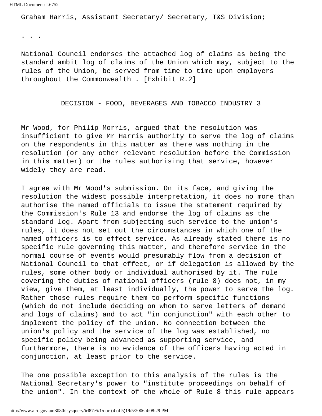HTML Document: L6752

Graham Harris, Assistant Secretary/ Secretary, T&S Division;

. . .

National Council endorses the attached log of claims as being the standard ambit log of claims of the Union which may, subject to the rules of the Union, be served from time to time upon employers throughout the Commonwealth . [Exhibit R.2]

## DECISION - FOOD, BEVERAGES AND TOBACCO INDUSTRY 3

Mr Wood, for Philip Morris, argued that the resolution was insufficient to give Mr Harris authority to serve the log of claims on the respondents in this matter as there was nothing in the resolution (or any other relevant resolution before the Commission in this matter) or the rules authorising that service, however widely they are read.

I agree with Mr Wood's submission. On its face, and giving the resolution the widest possible interpretation, it does no more than authorise the named officials to issue the statement required by the Commission's Rule 13 and endorse the log of claims as the standard log. Apart from subjecting such service to the union's rules, it does not set out the circumstances in which one of the named officers is to effect service. As already stated there is no specific rule governing this matter, and therefore service in the normal course of events would presumably flow from a decision of National Council to that effect, or if delegation is allowed by the rules, some other body or individual authorised by it. The rule covering the duties of national officers (rule 8) does not, in my view, give them, at least individually, the power to serve the log. Rather those rules require them to perform specific functions (which do not include deciding on whom to serve letters of demand and logs of claims) and to act "in conjunction" with each other to implement the policy of the union. No connection between the union's policy and the service of the log was established, no specific policy being advanced as supporting service, and furthermore, there is no evidence of the officers having acted in conjunction, at least prior to the service.

The one possible exception to this analysis of the rules is the National Secretary's power to "institute proceedings on behalf of the union". In the context of the whole of Rule 8 this rule appears